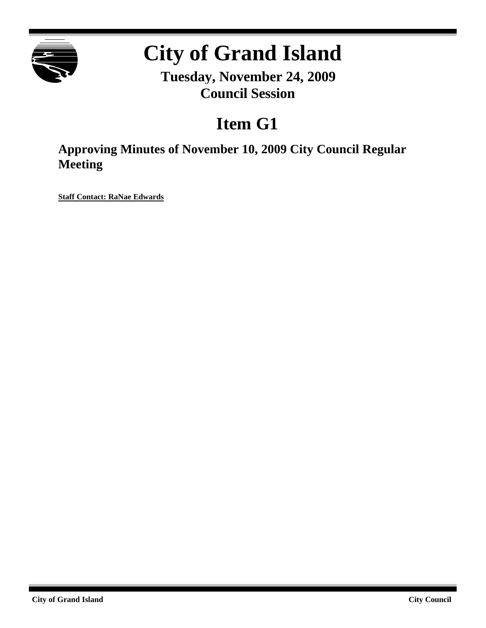

# **City of Grand Island**

**Tuesday, November 24, 2009 Council Session**

## **Item G1**

**Approving Minutes of November 10, 2009 City Council Regular Meeting**

**Staff Contact: RaNae Edwards**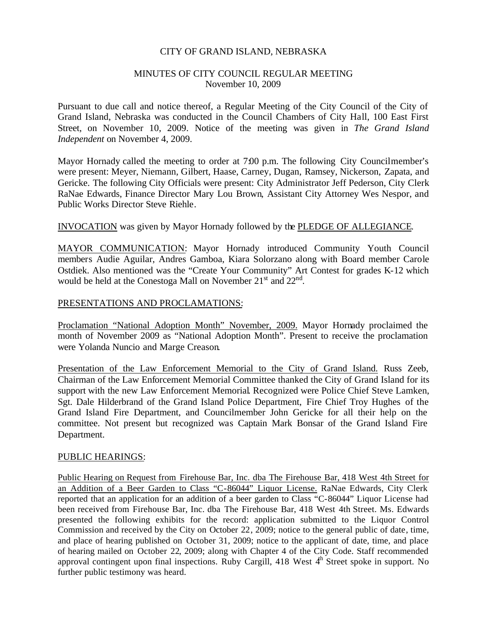#### CITY OF GRAND ISLAND, NEBRASKA

#### MINUTES OF CITY COUNCIL REGULAR MEETING November 10, 2009

Pursuant to due call and notice thereof, a Regular Meeting of the City Council of the City of Grand Island, Nebraska was conducted in the Council Chambers of City Hall, 100 East First Street, on November 10, 2009. Notice of the meeting was given in *The Grand Island Independent* on November 4, 2009.

Mayor Hornady called the meeting to order at 7:00 p.m. The following City Councilmember's were present: Meyer, Niemann, Gilbert, Haase, Carney, Dugan, Ramsey, Nickerson, Zapata, and Gericke. The following City Officials were present: City Administrator Jeff Pederson, City Clerk RaNae Edwards, Finance Director Mary Lou Brown, Assistant City Attorney Wes Nespor, and Public Works Director Steve Riehle.

#### INVOCATION was given by Mayor Hornady followed by the PLEDGE OF ALLEGIANCE.

MAYOR COMMUNICATION: Mayor Hornady introduced Community Youth Council members Audie Aguilar, Andres Gamboa, Kiara Solorzano along with Board member Carole Ostdiek. Also mentioned was the "Create Your Community" Art Contest for grades K-12 which would be held at the Conestoga Mall on November  $21<sup>st</sup>$  and  $22<sup>nd</sup>$ .

#### PRESENTATIONS AND PROCLAMATIONS:

Proclamation "National Adoption Month" November, 2009. Mayor Hornady proclaimed the month of November 2009 as "National Adoption Month". Present to receive the proclamation were Yolanda Nuncio and Marge Creason.

Presentation of the Law Enforcement Memorial to the City of Grand Island. Russ Zeeb, Chairman of the Law Enforcement Memorial Committee thanked the City of Grand Island for its support with the new Law Enforcement Memorial. Recognized were Police Chief Steve Lamken, Sgt. Dale Hilderbrand of the Grand Island Police Department, Fire Chief Troy Hughes of the Grand Island Fire Department, and Councilmember John Gericke for all their help on the committee. Not present but recognized was Captain Mark Bonsar of the Grand Island Fire Department.

#### PUBLIC HEARINGS:

Public Hearing on Request from Firehouse Bar, Inc. dba The Firehouse Bar, 418 West 4th Street for an Addition of a Beer Garden to Class "C-86044" Liquor License. RaNae Edwards, City Clerk reported that an application for an addition of a beer garden to Class "C-86044" Liquor License had been received from Firehouse Bar, Inc. dba The Firehouse Bar, 418 West 4th Street. Ms. Edwards presented the following exhibits for the record: application submitted to the Liquor Control Commission and received by the City on October 22, 2009; notice to the general public of date, time, and place of hearing published on October 31, 2009; notice to the applicant of date, time, and place of hearing mailed on October 22, 2009; along with Chapter 4 of the City Code. Staff recommended approval contingent upon final inspections. Ruby Cargill, 418 West  $4<sup>h</sup>$  Street spoke in support. No further public testimony was heard.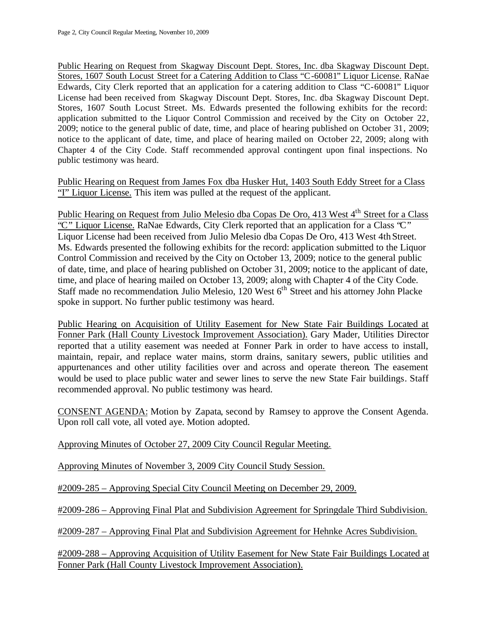Public Hearing on Request from Skagway Discount Dept. Stores, Inc. dba Skagway Discount Dept. Stores, 1607 South Locust Street for a Catering Addition to Class "C-60081" Liquor License. RaNae Edwards, City Clerk reported that an application for a catering addition to Class "C-60081" Liquor License had been received from Skagway Discount Dept. Stores, Inc. dba Skagway Discount Dept. Stores, 1607 South Locust Street. Ms. Edwards presented the following exhibits for the record: application submitted to the Liquor Control Commission and received by the City on October 22, 2009; notice to the general public of date, time, and place of hearing published on October 31, 2009; notice to the applicant of date, time, and place of hearing mailed on October 22, 2009; along with Chapter 4 of the City Code. Staff recommended approval contingent upon final inspections. No public testimony was heard.

Public Hearing on Request from James Fox dba Husker Hut, 1403 South Eddy Street for a Class "I" Liquor License. This item was pulled at the request of the applicant.

Public Hearing on Request from Julio Melesio dba Copas De Oro, 413 West 4<sup>th</sup> Street for a Class "C" Liquor License. RaNae Edwards, City Clerk reported that an application for a Class "C" Liquor License had been received from Julio Melesio dba Copas De Oro, 413 West 4th Street. Ms. Edwards presented the following exhibits for the record: application submitted to the Liquor Control Commission and received by the City on October 13, 2009; notice to the general public of date, time, and place of hearing published on October 31, 2009; notice to the applicant of date, time, and place of hearing mailed on October 13, 2009; along with Chapter 4 of the City Code. Staff made no recommendation. Julio Melesio, 120 West 6<sup>th</sup> Street and his attorney John Placke spoke in support. No further public testimony was heard.

Public Hearing on Acquisition of Utility Easement for New State Fair Buildings Located at Fonner Park (Hall County Livestock Improvement Association). Gary Mader, Utilities Director reported that a utility easement was needed at Fonner Park in order to have access to install, maintain, repair, and replace water mains, storm drains, sanitary sewers, public utilities and appurtenances and other utility facilities over and across and operate thereon. The easement would be used to place public water and sewer lines to serve the new State Fair buildings. Staff recommended approval. No public testimony was heard.

CONSENT AGENDA: Motion by Zapata, second by Ramsey to approve the Consent Agenda. Upon roll call vote, all voted aye. Motion adopted.

Approving Minutes of October 27, 2009 City Council Regular Meeting.

Approving Minutes of November 3, 2009 City Council Study Session.

#2009-285 – Approving Special City Council Meeting on December 29, 2009.

#2009-286 – Approving Final Plat and Subdivision Agreement for Springdale Third Subdivision.

#2009-287 – Approving Final Plat and Subdivision Agreement for Hehnke Acres Subdivision.

#2009-288 – Approving Acquisition of Utility Easement for New State Fair Buildings Located at Fonner Park (Hall County Livestock Improvement Association).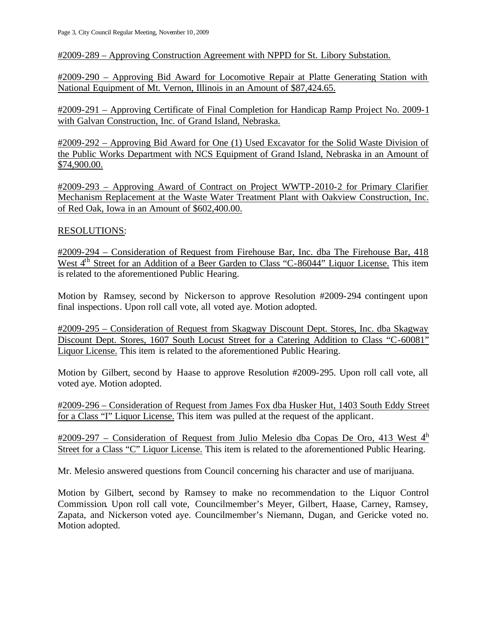#2009-289 – Approving Construction Agreement with NPPD for St. Libory Substation.

#2009-290 – Approving Bid Award for Locomotive Repair at Platte Generating Station with National Equipment of Mt. Vernon, Illinois in an Amount of \$87,424.65.

#2009-291 – Approving Certificate of Final Completion for Handicap Ramp Project No. 2009-1 with Galvan Construction, Inc. of Grand Island, Nebraska.

#2009-292 – Approving Bid Award for One (1) Used Excavator for the Solid Waste Division of the Public Works Department with NCS Equipment of Grand Island, Nebraska in an Amount of \$74,900.00.

#2009-293 – Approving Award of Contract on Project WWTP-2010-2 for Primary Clarifier Mechanism Replacement at the Waste Water Treatment Plant with Oakview Construction, Inc. of Red Oak, Iowa in an Amount of \$602,400.00.

#### RESOLUTIONS:

#2009-294 – Consideration of Request from Firehouse Bar, Inc. dba The Firehouse Bar, 418 West 4<sup>th</sup> Street for an Addition of a Beer Garden to Class "C-86044" Liquor License. This item is related to the aforementioned Public Hearing.

Motion by Ramsey, second by Nickerson to approve Resolution #2009-294 contingent upon final inspections. Upon roll call vote, all voted aye. Motion adopted.

#2009-295 – Consideration of Request from Skagway Discount Dept. Stores, Inc. dba Skagway Discount Dept. Stores, 1607 South Locust Street for a Catering Addition to Class "C-60081" Liquor License. This item is related to the aforementioned Public Hearing.

Motion by Gilbert, second by Haase to approve Resolution #2009-295. Upon roll call vote, all voted aye. Motion adopted.

#2009-296 – Consideration of Request from James Fox dba Husker Hut, 1403 South Eddy Street for a Class "I" Liquor License. This item was pulled at the request of the applicant.

 $\frac{\text{#2009-297}}{4}$  – Consideration of Request from Julio Melesio dba Copas De Oro, 413 West  $4^h$ Street for a Class "C" Liquor License. This item is related to the aforementioned Public Hearing.

Mr. Melesio answered questions from Council concerning his character and use of marijuana.

Motion by Gilbert, second by Ramsey to make no recommendation to the Liquor Control Commission. Upon roll call vote, Councilmember's Meyer, Gilbert, Haase, Carney, Ramsey, Zapata, and Nickerson voted aye. Councilmember's Niemann, Dugan, and Gericke voted no. Motion adopted.